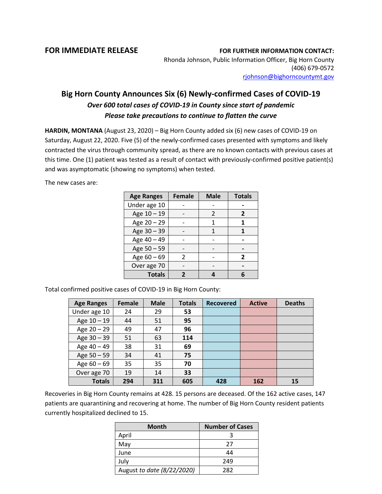**FOR IMMEDIATE RELEASE FOR FURTHER INFORMATION CONTACT:** Rhonda Johnson, Public Information Officer, Big Horn County (406) 679-0572 [rjohnson@bighorncountymt.gov](mailto:rjohnson@bighorncountymt.gov)

## **Big Horn County Announces Six (6) Newly-confirmed Cases of COVID-19** *Over 600 total cases of COVID-19 in County since start of pandemic Please take precautions to continue to flatten the curve*

**HARDIN, MONTANA** (August 23, 2020) – Big Horn County added six (6) new cases of COVID-19 on Saturday, August 22, 2020. Five (5) of the newly-confirmed cases presented with symptoms and likely contracted the virus through community spread, as there are no known contacts with previous cases at this time. One (1) patient was tested as a result of contact with previously-confirmed positive patient(s) and was asymptomatic (showing no symptoms) when tested.

The new cases are:

| <b>Age Ranges</b> | <b>Female</b> | <b>Male</b> | <b>Totals</b> |  |
|-------------------|---------------|-------------|---------------|--|
| Under age 10      |               |             |               |  |
| Age 10 - 19       |               | 2           | 2             |  |
| Age 20 - 29       |               | 1           | 1             |  |
| Age 30 - 39       |               | 1           |               |  |
| Age 40 - 49       |               |             |               |  |
| Age 50 - 59       |               |             |               |  |
| Age 60 - 69       | 2             |             | 2             |  |
| Over age 70       |               |             |               |  |
| <b>Totals</b>     |               |             |               |  |

Total confirmed positive cases of COVID-19 in Big Horn County:

| <b>Age Ranges</b> | <b>Female</b> | <b>Male</b> | <b>Totals</b> | <b>Recovered</b> | <b>Active</b> | <b>Deaths</b> |
|-------------------|---------------|-------------|---------------|------------------|---------------|---------------|
| Under age 10      | 24            | 29          | 53            |                  |               |               |
| Age $10 - 19$     | 44            | 51          | 95            |                  |               |               |
| Age $20 - 29$     | 49            | 47          | 96            |                  |               |               |
| Age 30 - 39       | 51            | 63          | 114           |                  |               |               |
| Age 40 - 49       | 38            | 31          | 69            |                  |               |               |
| Age $50 - 59$     | 34            | 41          | 75            |                  |               |               |
| Age $60 - 69$     | 35            | 35          | 70            |                  |               |               |
| Over age 70       | 19            | 14          | 33            |                  |               |               |
| <b>Totals</b>     | 294           | 311         | 605           | 428              | 162           | 15            |

Recoveries in Big Horn County remains at 428. 15 persons are deceased. Of the 162 active cases, 147 patients are quarantining and recovering at home. The number of Big Horn County resident patients currently hospitalized declined to 15.

| <b>Month</b>               | <b>Number of Cases</b> |  |  |
|----------------------------|------------------------|--|--|
| April                      |                        |  |  |
| May                        | 27                     |  |  |
| June                       | 44                     |  |  |
| July                       | 249                    |  |  |
| August to date (8/22/2020) | 282                    |  |  |